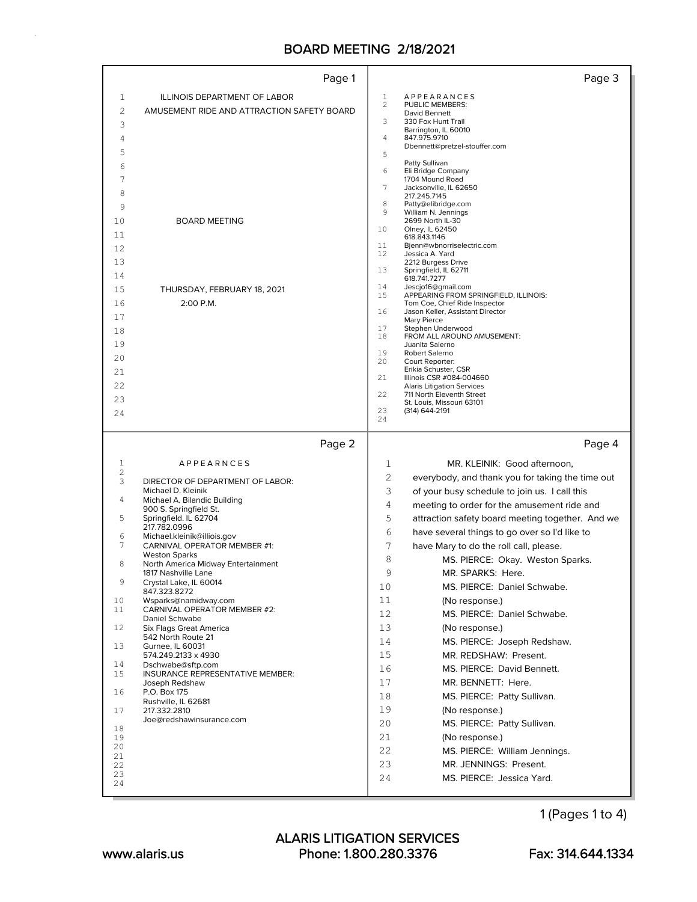|                | Page 1                                                     | Page 3                                                                       |  |
|----------------|------------------------------------------------------------|------------------------------------------------------------------------------|--|
| $\mathbf{1}$   | <b>ILLINOIS DEPARTMENT OF LABOR</b>                        | <b>APPEARANCES</b><br>1                                                      |  |
| 2              | AMUSEMENT RIDE AND ATTRACTION SAFETY BOARD                 | 2<br>PUBLIC MEMBERS:<br>David Bennett                                        |  |
| 3              |                                                            | 3<br>330 Fox Hunt Trail                                                      |  |
| 4              |                                                            | Barrington, IL 60010<br>4<br>847.975.9710                                    |  |
| 5              |                                                            | Dbennett@pretzel-stouffer.com<br>5                                           |  |
| 6              |                                                            | Patty Sullivan                                                               |  |
| 7              |                                                            | 6<br>Eli Bridge Company<br>1704 Mound Road                                   |  |
| 8              |                                                            | 7<br>Jacksonville, IL 62650<br>217.245.7145                                  |  |
| 9              |                                                            | 8<br>Patty@elibridge.com                                                     |  |
| 10             | <b>BOARD MEETING</b>                                       | 9<br>William N. Jennings<br>2699 North IL-30                                 |  |
| 11             |                                                            | 10<br>Olney, IL 62450<br>618.843.1146                                        |  |
| 12             |                                                            | 11<br>Bjenn@wbnorriselectric.com                                             |  |
| 13             |                                                            | 12<br>Jessica A. Yard<br>2212 Burgess Drive                                  |  |
| 14             |                                                            | 13<br>Springfield, IL 62711<br>618.741.7277                                  |  |
| 15             | THURSDAY, FEBRUARY 18, 2021                                | 14<br>Jescjo16@gmail.com                                                     |  |
| 16             | 2:00 P.M.                                                  | 15<br>APPEARING FROM SPRINGFIELD, ILLINOIS:<br>Tom Coe, Chief Ride Inspector |  |
| 17             |                                                            | 16<br>Jason Keller, Assistant Director<br>Mary Pierce                        |  |
| 18             |                                                            | 17<br>Stephen Underwood<br>18                                                |  |
| 19             |                                                            | FROM ALL AROUND AMUSEMENT:<br>Juanita Salerno                                |  |
| 20             |                                                            | 19<br>Robert Salerno<br>20<br>Court Reporter:                                |  |
| 21             |                                                            | Erikia Schuster, CSR<br>21                                                   |  |
| 22             |                                                            | Illinois CSR #084-004660<br><b>Alaris Litigation Services</b>                |  |
| 23             |                                                            | 22<br>711 North Eleventh Street<br>St. Louis, Missouri 63101                 |  |
| 24             |                                                            | 23<br>(314) 644-2191<br>24                                                   |  |
|                |                                                            |                                                                              |  |
|                |                                                            |                                                                              |  |
|                | Page 2                                                     | Page 4                                                                       |  |
| 1              | <i>APPEARNCES</i>                                          | 1<br>MR. KLEINIK: Good afternoon,                                            |  |
| 2<br>3         | DIRECTOR OF DEPARTMENT OF LABOR:                           | 2<br>everybody, and thank you for taking the time out                        |  |
|                | Michael D. Kleinik                                         | 3<br>of your busy schedule to join us. I call this                           |  |
| 4              | Michael A. Bilandic Building<br>900 S. Springfield St.     | 4<br>meeting to order for the amusement ride and                             |  |
| 5              | Springfield. IL 62704                                      | 5<br>attraction safety board meeting together. And we                        |  |
| 6              | 217.782.0996<br>Michael.kleinik@illiois.gov                | 6<br>have several things to go over so I'd like to                           |  |
| 7              | CARNIVAL OPERATOR MEMBER #1:                               | 7<br>have Mary to do the roll call, please.                                  |  |
| 8              | <b>Weston Sparks</b><br>North America Midway Entertainment | 8<br>MS. PIERCE: Okay. Weston Sparks.                                        |  |
| 9              | 1817 Nashville Lane                                        | 9<br>MR. SPARKS: Here.                                                       |  |
|                | Crystal Lake, IL 60014<br>847.323.8272                     | MS. PIERCE: Daniel Schwabe.<br>10                                            |  |
| 10<br>11       | Wsparks@namidway.com<br>CARNIVAL OPERATOR MEMBER #2:       | 11<br>(No response.)                                                         |  |
|                | Daniel Schwabe                                             | 12<br>MS. PIERCE: Daniel Schwabe.                                            |  |
| 12             | Six Flags Great America<br>542 North Route 21              | 13<br>(No response.)                                                         |  |
| 13             | Gurnee, IL 60031                                           | 14<br>MS. PIERCE: Joseph Redshaw.                                            |  |
| 14             | 574.249.2133 x 4930<br>Dschwabe@sftp.com                   | 15<br>MR. REDSHAW: Present.                                                  |  |
| 15             | INSURANCE REPRESENTATIVE MEMBER:                           | 16<br>MS. PIERCE: David Bennett.                                             |  |
| 16             | Joseph Redshaw<br>P.O. Box 175                             | 17<br>MR. BENNETT: Here.                                                     |  |
|                | Rushville, IL 62681                                        | 18<br>MS. PIERCE: Patty Sullivan.                                            |  |
| 17             | 217.332.2810<br>Joe@redshawinsurance.com                   | 19<br>(No response.)                                                         |  |
| 18             |                                                            | 20<br>MS. PIERCE: Patty Sullivan.                                            |  |
| 19<br>20       |                                                            | 21<br>(No response.)                                                         |  |
| 21             |                                                            | 22<br>MS. PIERCE: William Jennings.                                          |  |
| 22<br>23<br>24 |                                                            | 23<br>MR. JENNINGS: Present.<br>24<br>MS. PIERCE: Jessica Yard.              |  |

1 (Pages 1 to 4)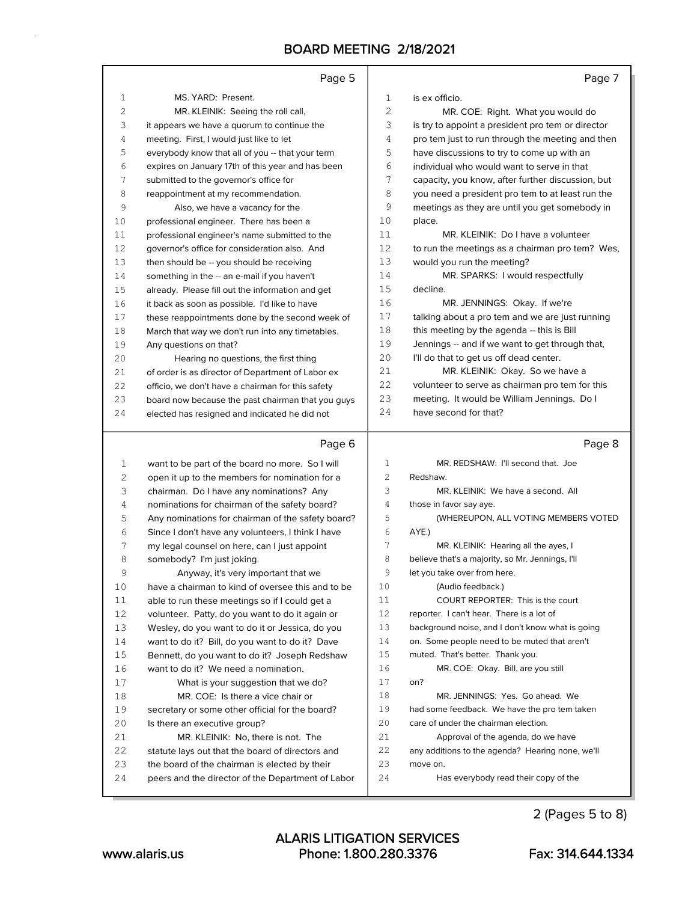### Page 5

|               | Page 5                                            |      | Page 7                                            |
|---------------|---------------------------------------------------|------|---------------------------------------------------|
| $\mathbf{1}$  | MS. YARD: Present.                                | 1    | is ex officio.                                    |
| 2             | MR. KLEINIK: Seeing the roll call,                | 2    | MR. COE: Right. What you would do                 |
| 3             | it appears we have a quorum to continue the       | 3    | is try to appoint a president pro tem or director |
| 4             | meeting. First, I would just like to let          | 4    | pro tem just to run through the meeting and then  |
| 5             | everybody know that all of you -- that your term  | 5    | have discussions to try to come up with an        |
| 6             | expires on January 17th of this year and has been | 6    | individual who would want to serve in that        |
| 7             | submitted to the governor's office for            | 7    | capacity, you know, after further discussion, but |
| 8             | reappointment at my recommendation.               | 8    | you need a president pro tem to at least run the  |
| 9             | Also, we have a vacancy for the                   | 9    | meetings as they are until you get somebody in    |
| 10            | professional engineer. There has been a           | 10   | place.                                            |
| 11            | professional engineer's name submitted to the     | 11   | MR. KLEINIK: Do I have a volunteer                |
| 12            | governor's office for consideration also. And     | 12   | to run the meetings as a chairman pro tem? Wes,   |
| 13            | then should be -- you should be receiving         | 13   | would you run the meeting?                        |
| 14            | something in the -- an e-mail if you haven't      | 14   | MR. SPARKS: I would respectfully                  |
| 15            | already. Please fill out the information and get  | 15   | decline.                                          |
| 16            | it back as soon as possible. I'd like to have     | 16   | MR. JENNINGS: Okay. If we're                      |
| 17            | these reappointments done by the second week of   | 17   | talking about a pro tem and we are just running   |
| 18            | March that way we don't run into any timetables.  | 18   | this meeting by the agenda -- this is Bill        |
| 19            | Any questions on that?                            | 19   | Jennings -- and if we want to get through that,   |
| 20            | Hearing no questions, the first thing             | 20   | I'll do that to get us off dead center.           |
| 21            | of order is as director of Department of Labor ex | 21   | MR. KLEINIK: Okay. So we have a                   |
| 22            | officio, we don't have a chairman for this safety | 22.2 | volunteer to serve as chairman pro tem for this   |
| 23            | board now because the past chairman that you guys | 23   | meeting. It would be William Jennings. Do I       |
| 24            | elected has resigned and indicated he did not     | 24   | have second for that?                             |
|               | Page 6                                            |      | Page 8                                            |
| 1             | want to be part of the board no more. So I will   | 1    | MR. REDSHAW: I'll second that. Joe                |
| $\mathcal{P}$ | open it up to the members for nomination for a    | 2    | Redshaw.                                          |

| 2  | open it up to the members for nomination for a    | $\overline{2}$ | Redshaw.                                         |
|----|---------------------------------------------------|----------------|--------------------------------------------------|
| 3  | chairman. Do I have any nominations? Any          | 3              | MR. KLEINIK: We have a second. All               |
| 4  | nominations for chairman of the safety board?     | 4              | those in favor say aye.                          |
| 5  | Any nominations for chairman of the safety board? | 5              | (WHEREUPON, ALL VOTING MEMBERS VOTED             |
| 6  | Since I don't have any volunteers, I think I have | 6              | AYE.)                                            |
| 7  | my legal counsel on here, can I just appoint      | 7              | MR. KLEINIK: Hearing all the ayes, I             |
| 8  | somebody? I'm just joking.                        | 8              | believe that's a majority, so Mr. Jennings, I'll |
| 9  | Anyway, it's very important that we               | 9              | let you take over from here.                     |
| 10 | have a chairman to kind of oversee this and to be | 10             | (Audio feedback.)                                |
| 11 | able to run these meetings so if I could get a    | 11             | COURT REPORTER: This is the court                |
| 12 | volunteer. Patty, do you want to do it again or   | 12             | reporter. I can't hear. There is a lot of        |
| 13 | Wesley, do you want to do it or Jessica, do you   | 13             | background noise, and I don't know what is going |
| 14 | want to do it? Bill, do you want to do it? Dave   | 14             | on. Some people need to be muted that aren't     |
| 15 | Bennett, do you want to do it? Joseph Redshaw     | 15             | muted. That's better. Thank you.                 |
| 16 | want to do it? We need a nomination.              | 16             | MR. COE: Okay. Bill, are you still               |
| 17 | What is your suggestion that we do?               | 17             | on?                                              |
| 18 | MR. COE: Is there a vice chair or                 | 18             | MR. JENNINGS: Yes. Go ahead. We                  |
| 19 | secretary or some other official for the board?   | 19             | had some feedback. We have the pro tem taken     |
| 20 | Is there an executive group?                      | 20             | care of under the chairman election.             |
| 21 | MR. KLEINIK: No, there is not. The                | 21             | Approval of the agenda, do we have               |
| 22 | statute lays out that the board of directors and  | 22             | any additions to the agenda? Hearing none, we'll |
| 23 | the board of the chairman is elected by their     | 23             | move on.                                         |
| 24 | peers and the director of the Department of Labor | 24             | Has everybody read their copy of the             |
|    |                                                   |                |                                                  |

2 (Pages 5 to 8)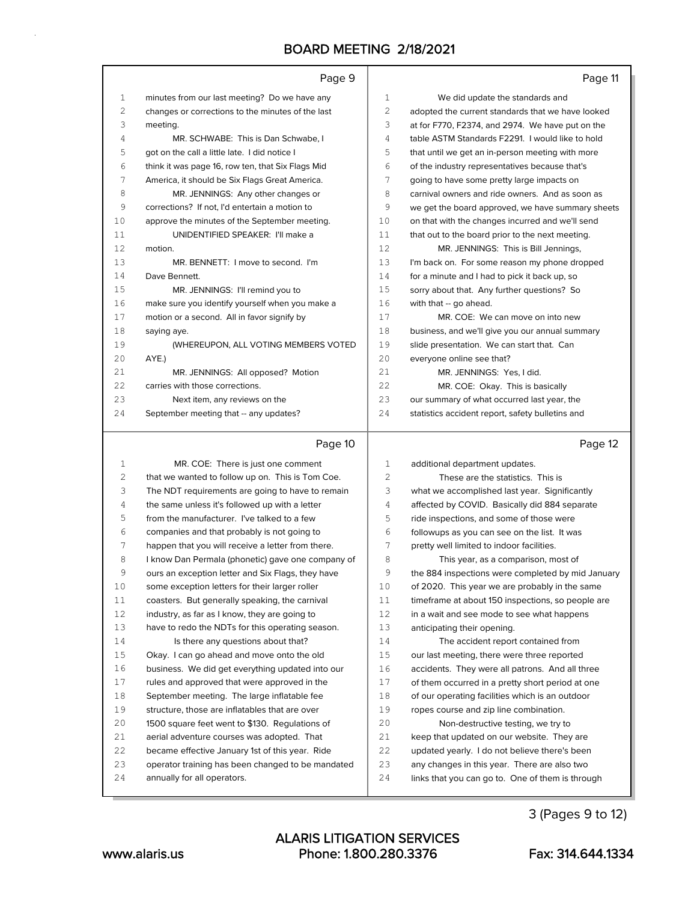|     | Page 9                                            |     | Page 11                                           |
|-----|---------------------------------------------------|-----|---------------------------------------------------|
| 1   | minutes from our last meeting? Do we have any     | 1   | We did update the standards and                   |
| 2   | changes or corrections to the minutes of the last | 2   | adopted the current standards that we have looked |
| 3   | meeting.                                          | 3   | at for F770, F2374, and 2974. We have put on the  |
| 4   | MR. SCHWABE: This is Dan Schwabe. I               | 4   | table ASTM Standards F2291. I would like to hold  |
| 5   | got on the call a little late. I did notice I     | 5   | that until we get an in-person meeting with more  |
| 6   | think it was page 16, row ten, that Six Flags Mid | 6   | of the industry representatives because that's    |
| 7   | America, it should be Six Flags Great America.    | 7   | going to have some pretty large impacts on        |
| 8   | MR. JENNINGS: Any other changes or                | 8   | carnival owners and ride owners. And as soon as   |
| 9   | corrections? If not, I'd entertain a motion to    | 9   | we get the board approved, we have summary sheets |
| 10  | approve the minutes of the September meeting.     | 10  | on that with the changes incurred and we'll send  |
| 11  | UNIDENTIFIED SPEAKER: I'll make a                 | 11  | that out to the board prior to the next meeting.  |
| 12  | motion.                                           | 12  | MR. JENNINGS: This is Bill Jennings,              |
| 13  | MR. BENNETT: I move to second. I'm                | 13  | I'm back on. For some reason my phone dropped     |
| 14  | Dave Bennett.                                     | 14  | for a minute and I had to pick it back up, so     |
| 15  | MR. JENNINGS: I'll remind you to                  | 1.5 | sorry about that. Any further questions? So       |
| 16  | make sure you identify yourself when you make a   | 16  | with that -- go ahead.                            |
| 17  | motion or a second. All in favor signify by       | 17  | MR. COE: We can move on into new                  |
| 18  | saying aye.                                       | 18  | business, and we'll give you our annual summary   |
| 19  | (WHEREUPON, ALL VOTING MEMBERS VOTED              | 19  | slide presentation. We can start that. Can        |
| 2.0 | AYE.)                                             | 2.0 | everyone online see that?                         |
| 21  | MR. JENNINGS: All opposed? Motion                 | 21  | MR. JENNINGS: Yes, I did.                         |
| 22  | carries with those corrections.                   | 22  | MR. COE: Okay. This is basically                  |
| 23  | Next item, any reviews on the                     | 23  | our summary of what occurred last year, the       |
| 2.4 | September meeting that -- any updates?            | 2.4 | statistics accident report, safety bulletins and  |
|     | Page 10                                           |     | Page 12                                           |

| 1  | MR. COE: There is just one comment                | $\mathbf{1}$ | additional department updates.                    |
|----|---------------------------------------------------|--------------|---------------------------------------------------|
| 2  | that we wanted to follow up on. This is Tom Coe.  |              | These are the statistics. This is                 |
| 3  | The NDT requirements are going to have to remain  | 3            | what we accomplished last year. Significantly     |
| 4  | the same unless it's followed up with a letter    | 4            | affected by COVID. Basically did 884 separate     |
| 5  | from the manufacturer. I've talked to a few       | 5            | ride inspections, and some of those were          |
| 6  | companies and that probably is not going to       | 6            | followups as you can see on the list. It was      |
| 7  | happen that you will receive a letter from there. | 7            | pretty well limited to indoor facilities.         |
| 8  | I know Dan Permala (phonetic) gave one company of | 8            | This year, as a comparison, most of               |
| 9  | ours an exception letter and Six Flags, they have | 9            | the 884 inspections were completed by mid January |
| 10 | some exception letters for their larger roller    | 10           | of 2020. This year we are probably in the same    |
| 11 | coasters. But generally speaking, the carnival    | 11           | timeframe at about 150 inspections, so people are |
| 12 | industry, as far as I know, they are going to     | 12           | in a wait and see mode to see what happens        |
| 13 | have to redo the NDTs for this operating season.  | 13           | anticipating their opening.                       |
| 14 | Is there any questions about that?                | 14           | The accident report contained from                |
| 15 | Okay. I can go ahead and move onto the old        | 15           | our last meeting, there were three reported       |
| 16 | business. We did get everything updated into our  | 16           | accidents. They were all patrons. And all three   |
| 17 | rules and approved that were approved in the      | 17           | of them occurred in a pretty short period at one  |
| 18 | September meeting. The large inflatable fee       | 18           | of our operating facilities which is an outdoor   |
| 19 | structure, those are inflatables that are over    | 19           | ropes course and zip line combination.            |
| 20 | 1500 square feet went to \$130. Regulations of    | 20           | Non-destructive testing, we try to                |
| 21 | aerial adventure courses was adopted. That        | 2.1          | keep that updated on our website. They are        |
| 22 | became effective January 1st of this year. Ride   | 22           | updated yearly. I do not believe there's been     |
| 23 | operator training has been changed to be mandated | 23           | any changes in this year. There are also two      |
| 24 | annually for all operators.                       | 24           | links that you can go to. One of them is through  |
|    |                                                   |              |                                                   |

3 (Pages 9 to 12)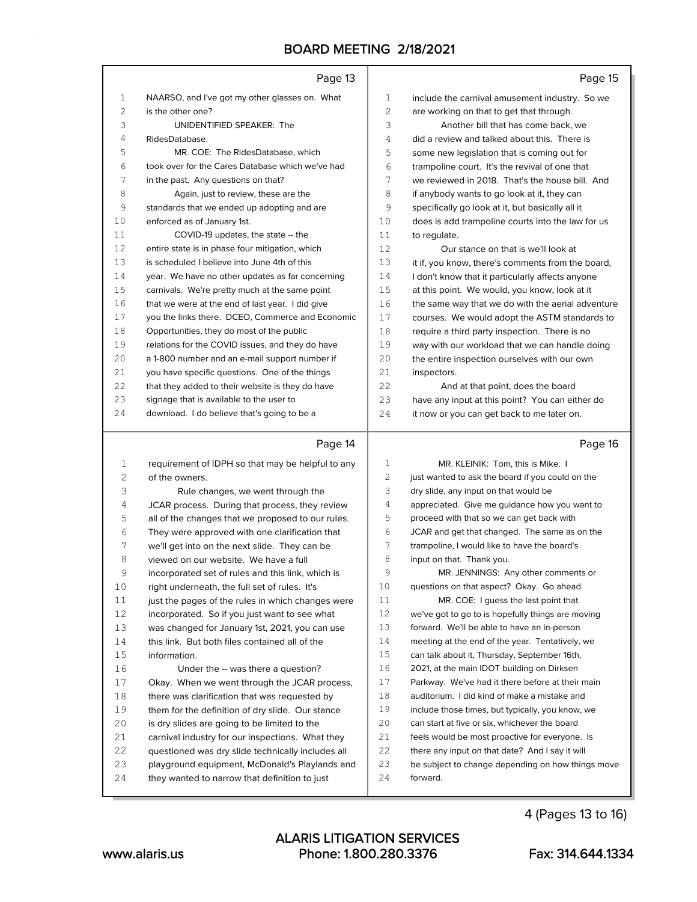|          | Page 13                                                                                          |          | Page 15                                                                                         |
|----------|--------------------------------------------------------------------------------------------------|----------|-------------------------------------------------------------------------------------------------|
| 1        | NAARSO, and I've got my other glasses on. What                                                   | 1        | include the carnival amusement industry. So we                                                  |
| 2        | is the other one?                                                                                | 2        | are working on that to get that through.                                                        |
| 3        | UNIDENTIFIED SPEAKER: The                                                                        | 3        | Another bill that has come back, we                                                             |
| 4        | RidesDatabase.                                                                                   | 4        | did a review and talked about this. There is                                                    |
| 5        | MR. COE: The RidesDatabase, which                                                                | 5        | some new legislation that is coming out for                                                     |
| 6        | took over for the Cares Database which we've had                                                 | 6        | trampoline court. It's the revival of one that                                                  |
| 7        | in the past. Any questions on that?                                                              | 7        | we reviewed in 2018. That's the house bill. And                                                 |
| 8        | Again, just to review, these are the                                                             | 8        | if anybody wants to go look at it, they can                                                     |
| 9        | standards that we ended up adopting and are                                                      | 9        | specifically go look at it, but basically all it                                                |
| 10       | enforced as of January 1st.                                                                      | 10       | does is add trampoline courts into the law for us                                               |
| 11       | COVID-19 updates, the state -- the                                                               | 11       | to regulate.                                                                                    |
| 12       | entire state is in phase four mitigation, which                                                  | 12       | Our stance on that is we'll look at                                                             |
| 13       | is scheduled I believe into June 4th of this                                                     | 13       | it if, you know, there's comments from the board,                                               |
| 14       | year. We have no other updates as far concerning                                                 | 14       | I don't know that it particularly affects anyone                                                |
| 15       | carnivals. We're pretty much at the same point                                                   | 15       | at this point. We would, you know, look at it                                                   |
| 16       | that we were at the end of last year. I did give                                                 | 16       | the same way that we do with the aerial adventure                                               |
| 17       | you the links there. DCEO, Commerce and Economic                                                 | 17       | courses. We would adopt the ASTM standards to                                                   |
| 18       | Opportunities, they do most of the public                                                        | 18       | require a third party inspection. There is no                                                   |
| 19       | relations for the COVID issues, and they do have                                                 | 19       | way with our workload that we can handle doing                                                  |
| 20       | a 1-800 number and an e-mail support number if                                                   | 20       | the entire inspection ourselves with our own                                                    |
| 21       | you have specific questions. One of the things                                                   | 21       | inspectors.                                                                                     |
| 22       | that they added to their website is they do have                                                 | 22       | And at that point, does the board                                                               |
| 23       | signage that is available to the user to                                                         | 23       | have any input at this point? You can either do                                                 |
| 24       | download. I do believe that's going to be a                                                      | 24       | it now or you can get back to me later on.                                                      |
|          | Page 14                                                                                          |          | Page 16                                                                                         |
| 1        | requirement of IDPH so that may be helpful to any                                                | 1        | MR. KLEINIK: Tom, this is Mike. I                                                               |
| 2        | of the owners.                                                                                   | 2        | just wanted to ask the board if you could on the                                                |
| 3        | Rule changes, we went through the                                                                | 3        | dry slide, any input on that would be                                                           |
| 4        | JCAR process. During that process, they review                                                   | 4        | appreciated. Give me guidance how you want to                                                   |
| 5        | all of the changes that we proposed to our rules.                                                | 5        | proceed with that so we can get back with                                                       |
| 6        | They were approved with one clarification that                                                   | 6        | JCAR and get that changed. The same as on the                                                   |
| 7        | we'll get into on the next slide. They can be                                                    | 7        | trampoline, I would like to have the board's                                                    |
| 8        | viewed on our website. We have a full                                                            | 8        | input on that. Thank you.                                                                       |
| 9        | incorporated set of rules and this link, which is                                                | 9        | MR. JENNINGS: Any other comments or                                                             |
| 10       | right underneath, the full set of rules. It's                                                    | 10       | questions on that aspect? Okay. Go ahead.                                                       |
| 11       | just the pages of the rules in which changes were                                                | 11       | MR. COE: I guess the last point that                                                            |
| 12       | incorporated. So if you just want to see what                                                    | 12       | we've got to go to is hopefully things are moving                                               |
| 13       | was changed for January 1st, 2021, you can use                                                   | 13       | forward. We'll be able to have an in-person                                                     |
| 14       | this link. But both files contained all of the                                                   | 14       | meeting at the end of the year. Tentatively, we                                                 |
| 15       | information.                                                                                     | 15       | can talk about it, Thursday, September 16th,                                                    |
|          |                                                                                                  |          |                                                                                                 |
| 16       | Under the -- was there a question?                                                               | 16       | 2021, at the main IDOT building on Dirksen                                                      |
| 17       | Okay. When we went through the JCAR process,                                                     | 17       | Parkway. We've had it there before at their main                                                |
| 18       | there was clarification that was requested by                                                    | 18       | auditorium. I did kind of make a mistake and                                                    |
| 19       | them for the definition of dry slide. Our stance                                                 | 19       | include those times, but typically, you know, we                                                |
| 20<br>21 | is dry slides are going to be limited to the<br>carnival industry for our inspections. What they | 20<br>21 | can start at five or six, whichever the board<br>feels would be most proactive for everyone. Is |

4 (Pages 13 to 16)

22 there any input on that date? And I say it will be subject to change depending on how things move

forward.

 questioned was dry slide technically includes all playground equipment, McDonald's Playlands and they wanted to narrow that definition to just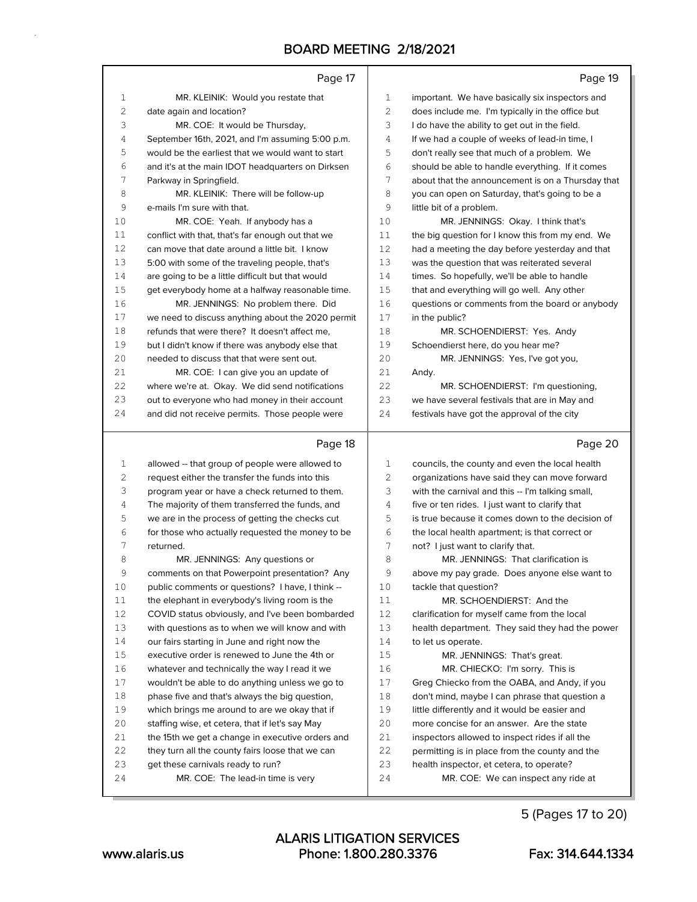|              | Page 17                                                                                            |              | Page 19                                                                                         |
|--------------|----------------------------------------------------------------------------------------------------|--------------|-------------------------------------------------------------------------------------------------|
| 1            | MR. KLEINIK: Would you restate that                                                                | $\mathbf{1}$ | important. We have basically six inspectors and                                                 |
| $\mathbf{2}$ | date again and location?                                                                           | 2            | does include me. I'm typically in the office but                                                |
| 3            | MR. COE: It would be Thursday,                                                                     | 3            | I do have the ability to get out in the field.                                                  |
| 4            | September 16th, 2021, and I'm assuming 5:00 p.m.                                                   | 4            | If we had a couple of weeks of lead-in time, I                                                  |
| 5            | would be the earliest that we would want to start                                                  | 5            | don't really see that much of a problem. We                                                     |
| 6            | and it's at the main IDOT headquarters on Dirksen                                                  | 6            | should be able to handle everything. If it comes                                                |
| 7            | Parkway in Springfield.                                                                            | 7            | about that the announcement is on a Thursday that                                               |
| 8            | MR. KLEINIK: There will be follow-up                                                               | 8            | you can open on Saturday, that's going to be a                                                  |
| 9            | e-mails I'm sure with that.                                                                        | 9            | little bit of a problem.                                                                        |
| 10           | MR. COE: Yeah. If anybody has a                                                                    | 10           | MR. JENNINGS: Okay. I think that's                                                              |
| 11           | conflict with that, that's far enough out that we                                                  | 11           | the big question for I know this from my end. We                                                |
| 12           | can move that date around a little bit. I know                                                     | 12           | had a meeting the day before yesterday and that                                                 |
| 13           | 5:00 with some of the traveling people, that's                                                     | 13           | was the question that was reiterated several                                                    |
| 14           | are going to be a little difficult but that would                                                  | 14           | times. So hopefully, we'll be able to handle                                                    |
| 15           | get everybody home at a halfway reasonable time.                                                   | 15           | that and everything will go well. Any other                                                     |
| 16           | MR. JENNINGS: No problem there. Did                                                                | 16           | questions or comments from the board or anybody                                                 |
| 17           | we need to discuss anything about the 2020 permit                                                  | 17           | in the public?                                                                                  |
| 18           | refunds that were there? It doesn't affect me,                                                     | 18           | MR. SCHOENDIERST: Yes. Andy                                                                     |
| 19           | but I didn't know if there was anybody else that                                                   | 19           | Schoendierst here, do you hear me?                                                              |
| 20           | needed to discuss that that were sent out.                                                         | 20           | MR. JENNINGS: Yes, I've got you,                                                                |
| 21           | MR. COE: I can give you an update of                                                               | 21           | Andy.                                                                                           |
| 22           | where we're at. Okay. We did send notifications                                                    | 22           | MR. SCHOENDIERST: I'm questioning,                                                              |
| 23           | out to everyone who had money in their account                                                     | 23           | we have several festivals that are in May and                                                   |
| 24           | and did not receive permits. Those people were                                                     | 24           | festivals have got the approval of the city                                                     |
|              |                                                                                                    |              |                                                                                                 |
|              | Page 18                                                                                            |              | Page 20                                                                                         |
| 1            |                                                                                                    | 1            |                                                                                                 |
| 2            | allowed -- that group of people were allowed to<br>request either the transfer the funds into this | 2            | councils, the county and even the local health<br>organizations have said they can move forward |
| 3            | program year or have a check returned to them.                                                     | 3            | with the carnival and this -- I'm talking small,                                                |
| 4            | The majority of them transferred the funds, and                                                    | 4            | five or ten rides. I just want to clarify that                                                  |
| 5            | we are in the process of getting the checks cut                                                    | 5            | is true because it comes down to the decision of                                                |
| 6            | for those who actually requested the money to be                                                   | 6            | the local health apartment; is that correct or                                                  |
| 7            | returned.                                                                                          | 7            | not? I just want to clarify that.                                                               |
| 8            | MR. JENNINGS: Any questions or                                                                     | 8            | MR. JENNINGS: That clarification is                                                             |
| 9            | comments on that Powerpoint presentation? Any                                                      | 9            | above my pay grade. Does anyone else want to                                                    |
| 10           | public comments or questions? I have, I think --                                                   | 10           | tackle that question?                                                                           |
| 11           | the elephant in everybody's living room is the                                                     | 11           | MR. SCHOENDIERST: And the                                                                       |
| 12           | COVID status obviously, and I've been bombarded                                                    | 12           | clarification for myself came from the local                                                    |
| 13           | with questions as to when we will know and with                                                    | 13           | health department. They said they had the power                                                 |
| 14           | our fairs starting in June and right now the                                                       | 14           | to let us operate.                                                                              |
| $15\,$       | executive order is renewed to June the 4th or                                                      | 15           | MR. JENNINGS: That's great.                                                                     |
| 16           | whatever and technically the way I read it we                                                      | 16           | MR. CHIECKO: I'm sorry. This is                                                                 |
| 17           | wouldn't be able to do anything unless we go to                                                    | 17           | Greg Chiecko from the OABA, and Andy, if you                                                    |
| 18           | phase five and that's always the big question,                                                     | 18           | don't mind, maybe I can phrase that question a                                                  |
| 19           | which brings me around to are we okay that if                                                      | 19           | little differently and it would be easier and                                                   |
| 20           | staffing wise, et cetera, that if let's say May                                                    | 20           | more concise for an answer. Are the state                                                       |
| 21           | the 15th we get a change in executive orders and                                                   | 21           | inspectors allowed to inspect rides if all the                                                  |
| 22           | they turn all the county fairs loose that we can                                                   | 22           | permitting is in place from the county and the                                                  |
| 23<br>24     | get these carnivals ready to run?                                                                  | 23<br>24     | health inspector, et cetera, to operate?                                                        |

5 (Pages 17 to 20)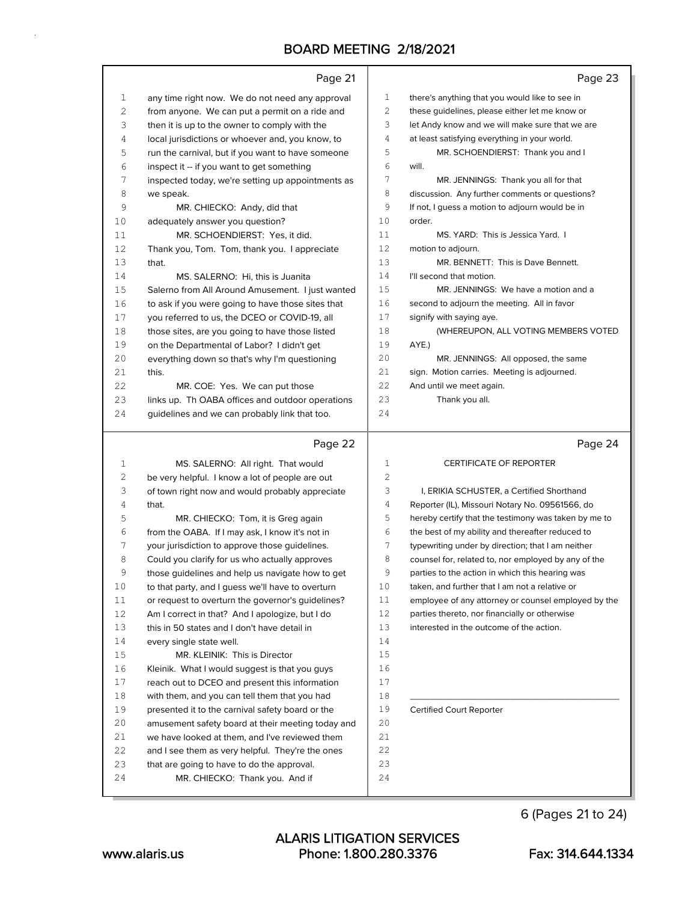|                  | Page 21                                                                               |          | Page 23                                              |
|------------------|---------------------------------------------------------------------------------------|----------|------------------------------------------------------|
| $\mathbf{1}$     | any time right now. We do not need any approval                                       | 1        | there's anything that you would like to see in       |
| 2                | from anyone. We can put a permit on a ride and                                        | 2        | these guidelines, please either let me know or       |
| 3                | then it is up to the owner to comply with the                                         | 3        | let Andy know and we will make sure that we are      |
| 4                | local jurisdictions or whoever and, you know, to                                      | 4        | at least satisfying everything in your world.        |
| 5                | run the carnival, but if you want to have someone                                     | 5        | MR. SCHOENDIERST: Thank you and I                    |
| 6                | inspect it -- if you want to get something                                            | 6        | will.                                                |
| 7                | inspected today, we're setting up appointments as                                     | 7        | MR. JENNINGS: Thank you all for that                 |
| 8                | we speak.                                                                             | 8        | discussion. Any further comments or questions?       |
| 9                | MR. CHIECKO: Andy, did that                                                           | 9        | If not, I guess a motion to adjourn would be in      |
| 10               | adequately answer you question?                                                       | 10       | order.                                               |
| 11               | MR. SCHOENDIERST: Yes, it did.                                                        | 11       | MS. YARD: This is Jessica Yard. I                    |
| 12               | Thank you, Tom. Tom, thank you. I appreciate                                          | 12       | motion to adjourn.                                   |
| 13               | that.                                                                                 | 13       | MR. BENNETT: This is Dave Bennett.                   |
| 14               | MS. SALERNO: Hi, this is Juanita                                                      | 14       | I'll second that motion.                             |
| 15               | Salerno from All Around Amusement. I just wanted                                      | 15       | MR. JENNINGS: We have a motion and a                 |
| 16               | to ask if you were going to have those sites that                                     | 16       | second to adjourn the meeting. All in favor          |
| 17               | you referred to us, the DCEO or COVID-19, all                                         | 17       | signify with saying aye.                             |
| 18               | those sites, are you going to have those listed                                       | 18       | (WHEREUPON, ALL VOTING MEMBERS VOTED                 |
| 19               | on the Departmental of Labor? I didn't get                                            | 19       | AYE.)                                                |
| 20               | everything down so that's why I'm questioning                                         | 20       | MR. JENNINGS: All opposed, the same                  |
| 21               | this.                                                                                 | 21       | sign. Motion carries. Meeting is adjourned.          |
| 22               | MR. COE: Yes. We can put those                                                        | 22       | And until we meet again.                             |
| 23               | links up. Th OABA offices and outdoor operations                                      | 23       | Thank you all.                                       |
| 24               | guidelines and we can probably link that too.                                         | 24       |                                                      |
|                  |                                                                                       |          |                                                      |
|                  | Page 22                                                                               |          | Page 24                                              |
|                  |                                                                                       | 1        | <b>CERTIFICATE OF REPORTER</b>                       |
| $\mathbf 1$<br>2 | MS. SALERNO: All right. That would<br>be very helpful. I know a lot of people are out | 2        |                                                      |
| 3                | of town right now and would probably appreciate                                       | 3        | I, ERIKIA SCHUSTER, a Certified Shorthand            |
| 4                | that.                                                                                 | 4        | Reporter (IL), Missouri Notary No. 09561566, do      |
| 5                | MR. CHIECKO: Tom, it is Greg again                                                    | 5        | hereby certify that the testimony was taken by me to |
| 6                | from the OABA. If I may ask, I know it's not in                                       | 6        | the best of my ability and thereafter reduced to     |
| 7                | your jurisdiction to approve those guidelines.                                        | 7        | typewriting under by direction; that I am neither    |
| 8                | Could you clarify for us who actually approves                                        | 8        | counsel for, related to, nor employed by any of the  |
| 9                | those guidelines and help us navigate how to get                                      | 9        | parties to the action in which this hearing was      |
| 10               | to that party, and I guess we'll have to overturn                                     | 10       | taken, and further that I am not a relative or       |
| 11               | or request to overturn the governor's quidelines?                                     | 11       | employee of any attorney or counsel employed by the  |
| 12               | Am I correct in that? And I apologize, but I do                                       | 12       | parties thereto, nor financially or otherwise        |
| 13               | this in 50 states and I don't have detail in                                          | 13       | interested in the outcome of the action.             |
| 14               | every single state well.                                                              | 14       |                                                      |
| $15$             | MR. KLEINIK: This is Director                                                         | 15       |                                                      |
| 16               | Kleinik. What I would suggest is that you guys                                        | 16       |                                                      |
| 17               | reach out to DCEO and present this information                                        | 17       |                                                      |
| 18               | with them, and you can tell them that you had                                         | 18       |                                                      |
| 19               | presented it to the carnival safety board or the                                      | 19       | <b>Certified Court Reporter</b>                      |
| 20               | amusement safety board at their meeting today and                                     | 20       |                                                      |
| 21               | we have looked at them, and I've reviewed them                                        | 21       |                                                      |
| 22               | and I see them as very helpful. They're the ones                                      | 22       |                                                      |
| 23<br>24         | that are going to have to do the approval.<br>MR. CHIECKO: Thank you. And if          | 23<br>24 |                                                      |

6 (Pages 21 to 24)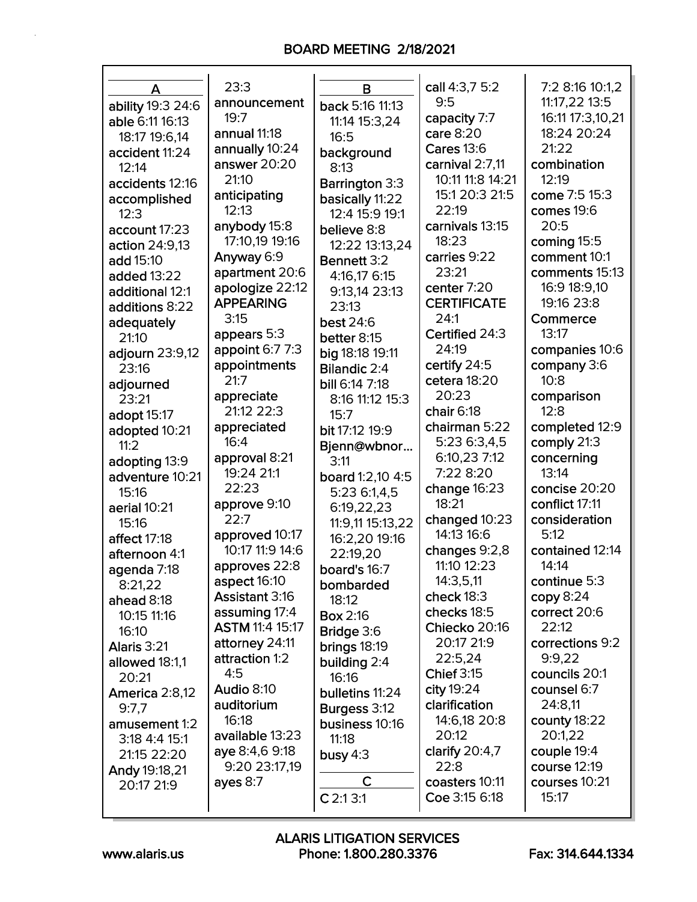| A                              | 23:3                   | в                         | call 4:3,7 5:2     | 7:2 8:16 10:1,2  |
|--------------------------------|------------------------|---------------------------|--------------------|------------------|
| ability 19:3 24:6              | announcement           | back 5:16 11:13           | 9:5                | 11:17,22 13:5    |
| able 6:11 16:13                | 19:7                   | 11:14 15:3,24             | capacity 7:7       | 16:11 17:3,10,21 |
| 18:17 19:6,14                  | annual 11:18           | 16:5                      | care 8:20          | 18:24 20:24      |
| accident 11:24                 | annually 10:24         | background                | <b>Cares 13:6</b>  | 21:22            |
| 12:14                          | answer 20:20           | 8:13                      | carnival 2:7,11    | combination      |
| accidents 12:16                | 21:10                  | <b>Barrington 3:3</b>     | 10:11 11:8 14:21   | 12:19            |
| accomplished                   | anticipating           | basically 11:22           | 15:1 20:3 21:5     | come 7:5 15:3    |
| 12:3                           | 12:13                  | 12:4 15:9 19:1            | 22:19              | comes 19:6       |
| account 17:23                  | anybody 15:8           |                           | carnivals 13:15    | 20:5             |
|                                | 17:10,19 19:16         | believe 8:8               | 18:23              | coming 15:5      |
| action 24:9,13                 | Anyway 6:9             | 12:22 13:13,24            | carries 9:22       | comment 10:1     |
| add 15:10                      | apartment 20:6         | Bennett 3:2               | 23:21              | comments 15:13   |
| added 13:22                    | apologize 22:12        | 4:16,17 6:15              | center 7:20        | 16:9 18:9,10     |
| additional 12:1                | <b>APPEARING</b>       | 9:13,14 23:13             | <b>CERTIFICATE</b> | 19:16 23:8       |
| additions 8:22                 | 3:15                   | 23:13                     | 24:1               | Commerce         |
| adequately                     | appears 5:3            | <b>best 24:6</b>          | Certified 24:3     | 13:17            |
| 21:10                          | appoint 6:7 7:3        | better 8:15               | 24:19              | companies 10:6   |
| adjourn 23:9,12                | appointments           | big 18:18 19:11           | certify 24:5       | company 3:6      |
| 23:16                          | 21:7                   | <b>Bilandic 2:4</b>       | cetera 18:20       | 10:8             |
| adjourned                      | appreciate             | bill 6:14 7:18            | 20:23              | comparison       |
| 23:21                          | 21:12 22:3             | 8:16 11:12 15:3           | chair 6:18         | 12:8             |
| adopt 15:17                    | appreciated            | 15:7                      | chairman 5:22      | completed 12:9   |
| adopted 10:21                  | 16:4                   | bit 17:12 19:9            | 5:23 6:3,4,5       | comply 21:3      |
| 11:2                           | approval 8:21          | Bjenn@wbnor               | 6:10,23 7:12       | concerning       |
| adopting 13:9                  | 19:24 21:1             | 3:11                      | 7:22 8:20          | 13:14            |
| adventure 10:21                | 22:23                  | board 1:2,10 4:5          | change 16:23       | concise 20:20    |
| 15:16                          | approve 9:10           | 5:23 6:1,4,5              | 18:21              | conflict 17:11   |
| aerial 10:21                   | 22:7                   | 6:19,22,23                | changed 10:23      | consideration    |
| 15:16                          | approved 10:17         | 11:9,11 15:13,22          | 14:13 16:6         | 5:12             |
| affect 17:18                   | 10:17 11:9 14:6        | 16:2,20 19:16<br>22:19,20 | changes 9:2,8      | contained 12:14  |
| afternoon 4:1                  | approves 22:8          |                           | 11:10 12:23        | 14:14            |
| agenda 7:18                    | aspect 16:10           | board's 16:7              | 14:3,5,11          | continue $5:3$   |
| 8:21,22                        | <b>Assistant 3:16</b>  | bombarded                 | check $18:3$       | copy 8:24        |
| ahead 8:18                     | assuming 17:4          | 18:12                     | checks 18:5        | correct 20:6     |
| 10:15 11:16                    | <b>ASTM 11:4 15:17</b> | <b>Box 2:16</b>           | Chiecko 20:16      | 22:12            |
| 16:10                          | attorney 24:11         | <b>Bridge</b> 3:6         | 20:17 21:9         | corrections 9:2  |
| Alaris 3:21                    | attraction 1:2         | brings 18:19              | 22:5,24            | 9:9,22           |
| allowed 18:1,1                 | 4:5                    | building 2:4<br>16:16     | <b>Chief 3:15</b>  | councils 20:1    |
| 20:21<br>America 2:8,12        | Audio 8:10             | bulletins 11:24           | city 19:24         | counsel 6:7      |
| 9:7,7                          | auditorium             |                           | clarification      | 24:8,11          |
|                                | 16:18                  | Burgess 3:12              | 14:6,18 20:8       | county 18:22     |
| amusement 1:2<br>3:18 4:4 15:1 | available 13:23        | business 10:16<br>11:18   | 20:12              | 20:1,22          |
| 21:15 22:20                    | aye 8:4,6 9:18         | busy $4:3$                | clarify $20:4,7$   | couple 19:4      |
| Andy 19:18,21                  | 9:20 23:17,19          |                           | 22:8               | course 12:19     |
| 20:17 21:9                     | ayes $8:7$             | C                         | coasters 10:11     | courses 10:21    |
|                                |                        | $C$ 2:1 3:1               | Coe 3:15 6:18      | 15:17            |
|                                |                        |                           |                    |                  |

Г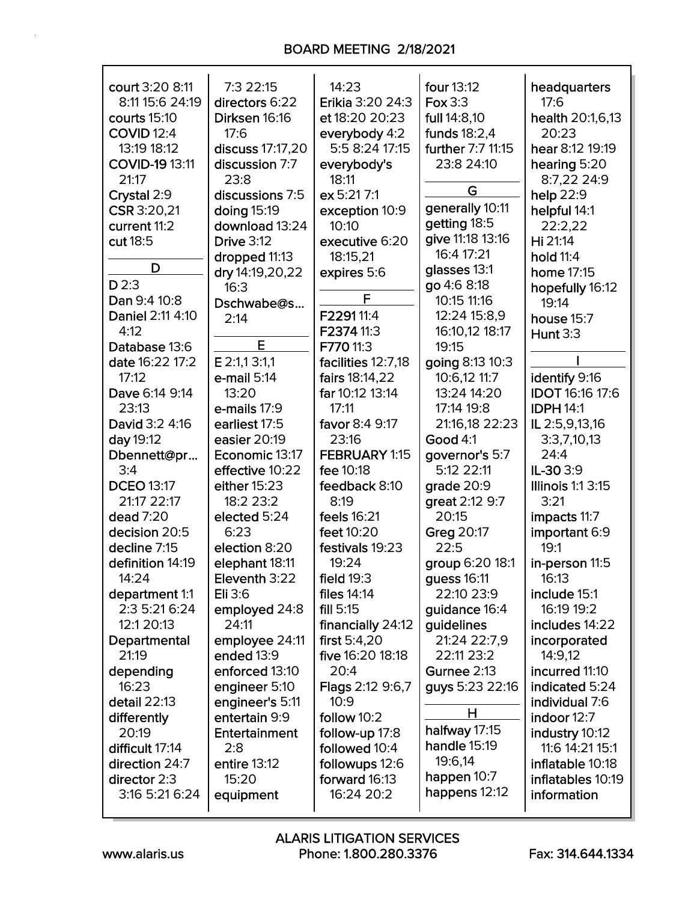| court 3:20 8:11<br>8:11 15:6 24:19<br>courts 15:10<br><b>COVID 12:4</b><br>13:19 18:12<br><b>COVID-19 13:11</b> | 7:3 22:15<br>directors 6:22<br>Dirksen 16:16<br>17:6<br>discuss 17:17,20<br>discussion 7:7 | 14:23<br>Erikia 3:20 24:3<br>et 18:20 20:23<br>everybody 4:2<br>5:5 8:24 17:15<br>everybody's | four 13:12<br>Fox 3:3<br>full 14:8,10<br>funds 18:2,4<br>further 7:7 11:15<br>23:8 24:10 | headquarters<br>17:6<br>health 20:1,6,13<br>20:23<br>hear 8:12 19:19<br>hearing 5:20 |
|-----------------------------------------------------------------------------------------------------------------|--------------------------------------------------------------------------------------------|-----------------------------------------------------------------------------------------------|------------------------------------------------------------------------------------------|--------------------------------------------------------------------------------------|
| 21:17<br>Crystal 2:9                                                                                            | 23:8<br>discussions 7:5                                                                    | 18:11<br>ex 5:21 7:1                                                                          | G                                                                                        | 8:7,22 24:9<br>help 22:9                                                             |
| CSR 3:20,21                                                                                                     | doing 15:19                                                                                | exception 10:9                                                                                | generally 10:11                                                                          | helpful 14:1                                                                         |
| current 11:2                                                                                                    | download 13:24                                                                             | 10:10                                                                                         | getting 18:5                                                                             | 22:2.22                                                                              |
| cut 18:5                                                                                                        | <b>Drive 3:12</b>                                                                          | executive 6:20                                                                                | give 11:18 13:16                                                                         | Hi 21:14                                                                             |
| D                                                                                                               | dropped 11:13                                                                              | 18:15,21                                                                                      | 16:4 17:21                                                                               | hold 11:4                                                                            |
|                                                                                                                 | dry 14:19, 20, 22                                                                          | expires 5:6                                                                                   | glasses 13:1                                                                             | home 17:15                                                                           |
| $D$ 2:3<br>Dan 9:4 10:8                                                                                         | 16:3                                                                                       | F                                                                                             | go 4:6 8:18<br>10:15 11:16                                                               | hopefully 16:12                                                                      |
| Daniel 2:11 4:10                                                                                                | Dschwabe@s                                                                                 | F229111:4                                                                                     | 12:24 15:8,9                                                                             | 19:14                                                                                |
| 4:12                                                                                                            | 2:14                                                                                       | F2374 11:3                                                                                    | 16:10,12 18:17                                                                           | house 15:7<br><b>Hunt 3:3</b>                                                        |
| Database 13:6                                                                                                   | E                                                                                          | F770 11:3                                                                                     | 19:15                                                                                    |                                                                                      |
| date 16:22 17:2                                                                                                 | E 2:1,1 3:1,1                                                                              | facilities 12:7,18                                                                            | going 8:13 10:3                                                                          |                                                                                      |
| 17:12                                                                                                           | $e$ -mail $5:14$                                                                           | fairs 18:14,22                                                                                | 10:6,12 11:7                                                                             | identify 9:16                                                                        |
| Dave 6:14 9:14                                                                                                  | 13:20                                                                                      | far 10:12 13:14                                                                               | 13:24 14:20                                                                              | <b>IDOT 16:16 17:6</b>                                                               |
| 23:13                                                                                                           | e-mails 17:9                                                                               | 17:11                                                                                         | 17:14 19:8                                                                               | <b>IDPH 14:1</b>                                                                     |
| David 3:2 4:16                                                                                                  | earliest 17:5                                                                              | favor 8:4 9:17                                                                                | 21:16,18 22:23                                                                           | IL 2:5,9,13,16                                                                       |
| day 19:12                                                                                                       | easier 20:19                                                                               | 23:16                                                                                         | <b>Good 4:1</b>                                                                          | 3:3,7,10,13                                                                          |
| Dbennett@pr                                                                                                     | Economic 13:17                                                                             | FEBRUARY 1:15                                                                                 | governor's 5:7                                                                           | 24:4                                                                                 |
| 3:4                                                                                                             | effective 10:22                                                                            | fee 10:18                                                                                     | 5:12 22:11                                                                               | IL-30 3:9                                                                            |
| <b>DCEO 13:17</b>                                                                                               | either 15:23                                                                               | feedback 8:10                                                                                 | grade 20:9                                                                               | <b>Illinois 1:1 3:15</b>                                                             |
| 21:17 22:17                                                                                                     | 18:2 23:2                                                                                  | 8:19                                                                                          | great 2:12 9:7                                                                           | 3:21                                                                                 |
| dead 7:20                                                                                                       | elected 5:24                                                                               | feels 16:21                                                                                   | 20:15                                                                                    | impacts 11:7                                                                         |
| decision 20:5                                                                                                   | 6:23                                                                                       | feet 10:20                                                                                    | Greg 20:17                                                                               | important 6:9                                                                        |
| decline 7:15                                                                                                    | election 8:20                                                                              | festivals 19:23                                                                               | 22:5                                                                                     | 19:1                                                                                 |
| definition 14:19                                                                                                | elephant 18:11                                                                             | 19:24                                                                                         | group 6:20 18:1                                                                          | in-person 11:5                                                                       |
| 14:24                                                                                                           | Eleventh 3:22<br>Eli 3:6                                                                   | field $19:3$<br>files 14:14                                                                   | guess 16:11<br>22:10 23:9                                                                | 16:13<br>include 15:1                                                                |
| department 1:1<br>2:3 5:21 6:24                                                                                 | employed 24:8                                                                              | fill 5:15                                                                                     | guidance 16:4                                                                            | 16:19 19:2                                                                           |
| 12:1 20:13                                                                                                      | 24:11                                                                                      | financially 24:12                                                                             | guidelines                                                                               | includes 14:22                                                                       |
| Departmental                                                                                                    | employee 24:11                                                                             | first $5:4,20$                                                                                | 21:24 22:7,9                                                                             | incorporated                                                                         |
| 21:19                                                                                                           | ended 13:9                                                                                 | five 16:20 18:18                                                                              | 22:11 23:2                                                                               | 14:9,12                                                                              |
| depending                                                                                                       | enforced 13:10                                                                             | 20:4                                                                                          | Gurnee 2:13                                                                              | incurred 11:10                                                                       |
| 16:23                                                                                                           | engineer 5:10                                                                              | <b>Flags 2:12 9:6,7</b>                                                                       | guys 5:23 22:16                                                                          | indicated 5:24                                                                       |
| detail 22:13                                                                                                    | engineer's 5:11                                                                            | 10:9                                                                                          |                                                                                          | individual 7:6                                                                       |
| differently                                                                                                     | entertain 9:9                                                                              | follow 10:2                                                                                   | Н                                                                                        | indoor 12:7                                                                          |
| 20:19                                                                                                           | Entertainment                                                                              | follow-up 17:8                                                                                | halfway 17:15                                                                            | industry 10:12                                                                       |
| difficult 17:14                                                                                                 | 2:8                                                                                        | followed 10:4                                                                                 | handle 15:19                                                                             | 11:6 14:21 15:1                                                                      |
| direction 24:7                                                                                                  | entire 13:12                                                                               | followups 12:6                                                                                | 19:6,14                                                                                  | inflatable 10:18                                                                     |
| director 2:3                                                                                                    | 15:20                                                                                      | forward 16:13                                                                                 | happen 10:7<br>happens 12:12                                                             | inflatables 10:19                                                                    |
| 3:16 5:21 6:24                                                                                                  | equipment                                                                                  | 16:24 20:2                                                                                    |                                                                                          | information                                                                          |

Г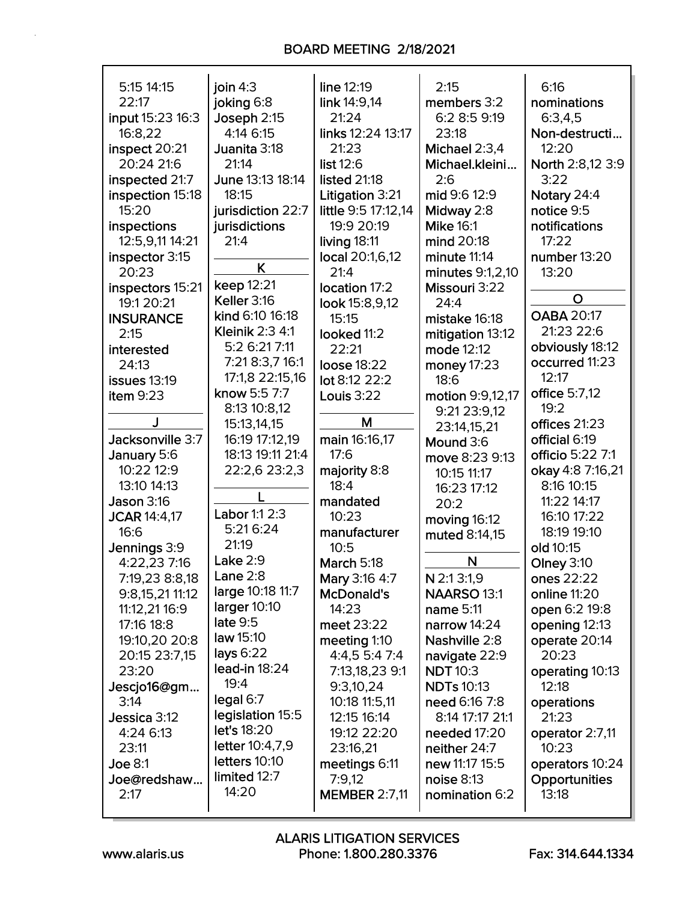| 5:15 14:15<br>22:17 | join $4:3$<br>joking 6:8 | line 12:19<br>link 14:9,14 | 2:15<br>members 3:2 | 6:16<br>nominations |
|---------------------|--------------------------|----------------------------|---------------------|---------------------|
| input 15:23 16:3    | Joseph 2:15              | 21:24                      | 6:2 8:5 9:19        | 6:3,4,5             |
|                     | 4:14 6:15                | links 12:24 13:17          | 23:18               |                     |
| 16:8,22             |                          |                            |                     | Non-destructi       |
| inspect 20:21       | Juanita 3:18             | 21:23                      | Michael 2:3,4       | 12:20               |
| 20:24 21:6          | 21:14                    | list 12:6                  | Michael.kleini      | North 2:8,12 3:9    |
| inspected 21:7      | June 13:13 18:14         | listed 21:18               | 2:6                 | 3:22                |
| inspection 15:18    | 18:15                    | Litigation 3:21            | mid 9:6 12:9        | Notary 24:4         |
| 15:20               | jurisdiction 22:7        | little 9:5 17:12,14        | Midway 2:8          | notice 9:5          |
| inspections         | jurisdictions            | 19:9 20:19                 | <b>Mike 16:1</b>    | notifications       |
| 12:5,9,11 14:21     | 21:4                     | living 18:11               | mind 20:18          | 17:22               |
| inspector 3:15      | K                        | local 20:1,6,12            | minute 11:14        | number 13:20        |
| 20:23               |                          | 21:4                       | minutes 9:1,2,10    | 13:20               |
| inspectors 15:21    | keep 12:21               | location 17:2              | Missouri 3:22       |                     |
| 19:1 20:21          | Keller 3:16              | look 15:8,9,12             | 24:4                | O                   |
| <b>INSURANCE</b>    | kind 6:10 16:18          | 15:15                      | mistake 16:18       | <b>OABA 20:17</b>   |
| 2:15                | <b>Kleinik 2:3 4:1</b>   | looked 11:2                | mitigation 13:12    | 21:23 22:6          |
| interested          | 5:2 6:21 7:11            | 22:21                      | mode 12:12          | obviously 18:12     |
| 24:13               | 7:21 8:3,7 16:1          | loose 18:22                | money 17:23         | occurred 11:23      |
| issues 13:19        | 17:1,8 22:15,16          | lot 8:12 22:2              | 18:6                | 12:17               |
| item $9:23$         | know 5:5 7:7             | Louis 3:22                 | motion 9:9,12,17    | office 5:7,12       |
|                     | 8:13 10:8,12             |                            | 9:21 23:9,12        | 19:2                |
|                     | 15:13,14,15              | M                          | 23:14,15,21         | offices 21:23       |
| Jacksonville 3:7    | 16:19 17:12,19           | main 16:16,17              | Mound 3:6           | official 6:19       |
| January 5:6         | 18:13 19:11 21:4         | 17:6                       | move 8:23 9:13      | officio 5:22 7:1    |
| 10:22 12:9          | 22:2,6 23:2,3            | majority 8:8               | 10:15 11:17         | okay 4:8 7:16,21    |
| 13:10 14:13         |                          | 18:4                       | 16:23 17:12         | 8:16 10:15          |
| <b>Jason 3:16</b>   |                          | mandated                   | 20:2                | 11:22 14:17         |
| <b>JCAR 14:4,17</b> | Labor 1:1 2:3            | 10:23                      | moving 16:12        | 16:10 17:22         |
| 16:6                | 5:21 6:24                | manufacturer               | muted 8:14,15       | 18:19 19:10         |
| Jennings 3:9        | 21:19                    | 10:5                       |                     | old 10:15           |
| 4:22,23 7:16        | Lake $2:9$               | March 5:18                 | N                   | <b>Olney 3:10</b>   |
| 7:19,23 8:8,18      | Lane $2:8$               | Mary 3:16 4:7              | N 2:1 3:1,9         | ones 22:22          |
| 9:8,15,21 11:12     | large 10:18 11:7         | <b>McDonald's</b>          | <b>NAARSO 13:1</b>  | online 11:20        |
| 11:12,21 16:9       | larger 10:10             | 14:23                      | name 5:11           | open 6:2 19:8       |
| 17:16 18:8          | late 9:5                 | meet 23:22                 | narrow 14:24        | opening 12:13       |
| 19:10,20 20:8       | law 15:10                | meeting 1:10               | Nashville 2:8       | operate 20:14       |
| 20:15 23:7,15       | lays $6:22$              | 4:4,5 5:4 7:4              | navigate 22:9       | 20:23               |
| 23:20               | lead-in 18:24            | 7:13,18,23 9:1             | <b>NDT 10:3</b>     | operating 10:13     |
| Jescjo16@gm         | 19:4                     | 9:3,10,24                  | <b>NDTs 10:13</b>   | 12:18               |
| 3:14                | legal 6:7                | 10:18 11:5,11              | need 6:16 7:8       | operations          |
| Jessica 3:12        | legislation 15:5         | 12:15 16:14                | 8:14 17:17 21:1     | 21:23               |
| 4:24 6:13           | let's 18:20              | 19:12 22:20                | needed 17:20        | operator 2:7,11     |
| 23:11               | letter 10:4,7,9          | 23:16,21                   | neither 24:7        | 10:23               |
| <b>Joe 8:1</b>      | letters 10:10            | meetings 6:11              | new 11:17 15:5      | operators 10:24     |
| Joe@redshaw         | limited 12:7             | 7:9,12                     | noise 8:13          | Opportunities       |
| 2:17                | 14:20                    | <b>MEMBER 2:7,11</b>       | nomination 6:2      | 13:18               |
|                     |                          |                            |                     |                     |

 $\mathsf{r}$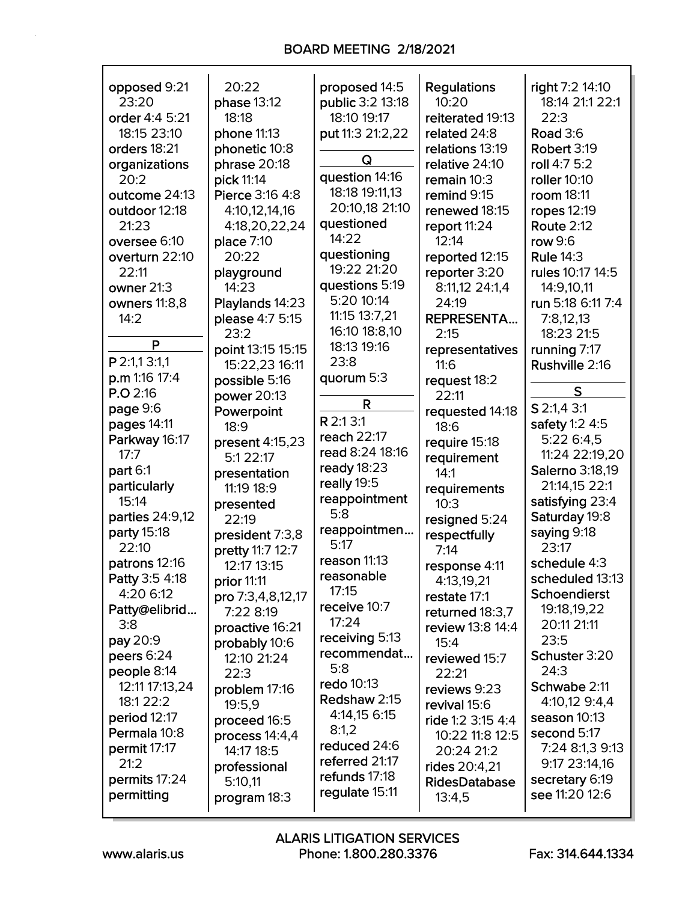| opposed 9:21          | 20:22             | proposed 14:5       | <b>Regulations</b>   | right 7:2 14:10        |
|-----------------------|-------------------|---------------------|----------------------|------------------------|
| 23:20                 | phase 13:12       | public 3:2 13:18    | 10:20                | 18:14 21:1 22:1        |
| order 4:4 5:21        | 18:18             | 18:10 19:17         | reiterated 19:13     | 22:3                   |
| 18:15 23:10           | phone 11:13       | put 11:3 21:2,22    | related 24:8         | <b>Road 3:6</b>        |
| orders 18:21          |                   |                     | relations 13:19      | Robert 3:19            |
|                       | phonetic 10:8     | Q                   |                      |                        |
| organizations         | phrase 20:18      | question 14:16      | relative 24:10       | roll 4:7 5:2           |
| 20:2                  | pick 11:14        | 18:18 19:11,13      | remain 10:3          | roller 10:10           |
| outcome 24:13         | Pierce 3:16 4:8   | 20:10,18 21:10      | remind 9:15          | room 18:11             |
| outdoor 12:18         | 4:10,12,14,16     |                     | renewed 18:15        | ropes 12:19            |
| 21:23                 | 4:18,20,22,24     | questioned<br>14:22 | report 11:24         | <b>Route 2:12</b>      |
| oversee 6:10          | place 7:10        |                     | 12:14                | row 9:6                |
| overturn 22:10        | 20:22             | questioning         | reported 12:15       | <b>Rule 14:3</b>       |
| 22:11                 | playground        | 19:22 21:20         | reporter 3:20        | rules 10:17 14:5       |
| owner 21:3            | 14:23             | questions 5:19      | 8:11,12 24:1,4       | 14:9,10,11             |
| owners 11:8,8         | Playlands 14:23   | 5:20 10:14          | 24:19                | run 5:18 6:11 7:4      |
| 14:2                  | please 4:7 5:15   | 11:15 13:7,21       | <b>REPRESENTA</b>    | 7:8,12,13              |
|                       | 23:2              | 16:10 18:8,10       | 2:15                 | 18:23 21:5             |
| P                     | point 13:15 15:15 | 18:13 19:16         | representatives      | running 7:17           |
| P 2:1,1 3:1,1         | 15:22,23 16:11    | 23:8                | 11:6                 | Rushville 2:16         |
| p.m 1:16 17:4         | possible 5:16     | quorum 5:3          | request 18:2         |                        |
| P.O.2:16              | power 20:13       |                     | 22:11                | S                      |
| page 9:6              | Powerpoint        | R                   | requested 14:18      | S 2:1,4 3:1            |
| pages 14:11           | 18:9              | R 2:1 3:1           | 18:6                 | safety 1:2 4:5         |
| Parkway 16:17         | present 4:15,23   | reach 22:17         | require 15:18        | 5:22 6:4,5             |
| 17:7                  | 5:1 22:17         | read 8:24 18:16     | requirement          | 11:24 22:19,20         |
| part 6:1              | presentation      | ready 18:23         | 14:1                 | <b>Salerno 3:18,19</b> |
| particularly          | 11:19 18:9        | really 19:5         | requirements         | 21:14,15 22:1          |
| 15:14                 | presented         | reappointment       | 10:3                 | satisfying 23:4        |
| parties 24:9,12       | 22:19             | 5:8                 | resigned 5:24        | Saturday 19:8          |
| party 15:18           | president 7:3,8   | reappointmen        | respectfully         | saying 9:18            |
| 22:10                 | pretty 11:7 12:7  | 5:17                | 7:14                 | 23:17                  |
| patrons 12:16         | 12:17 13:15       | reason 11:13        | response 4:11        | schedule 4:3           |
| <b>Patty 3:5 4:18</b> | prior 11:11       | reasonable          | 4:13,19,21           | scheduled 13:13        |
| 4:20 6:12             | pro 7:3,4,8,12,17 | 17:15               | restate 17:1         | <b>Schoendierst</b>    |
| Patty@elibrid         | 7:22 8:19         | receive 10:7        | returned 18:3,7      | 19:18,19,22            |
| 3:8                   | proactive 16:21   | 17:24               | review 13:8 14:4     | 20:11 21:11            |
| pay 20:9              | probably 10:6     | receiving 5:13      | 15:4                 | 23:5                   |
| peers 6:24            | 12:10 21:24       | recommendat         | reviewed 15:7        | Schuster 3:20          |
| people 8:14           | 22:3              | 5:8                 | 22:21                | 24:3                   |
| 12:11 17:13,24        | problem 17:16     | <b>redo</b> 10:13   | reviews 9:23         | Schwabe 2:11           |
| 18:1 22:2             | 19:5,9            | Redshaw 2:15        | revival 15:6         | 4:10,12 9:4,4          |
| period 12:17          |                   | 4:14,15 6:15        |                      | season 10:13           |
| Permala 10:8          | proceed 16:5      | 8:1,2               | ride 1:2 3:15 4:4    | second 5:17            |
| permit 17:17          | process 14:4,4    | reduced 24:6        | 10:22 11:8 12:5      | 7:24 8:1,3 9:13        |
| 21:2                  | 14:17 18:5        | referred 21:17      | 20:24 21:2           | 9:17 23:14,16          |
| permits 17:24         | professional      | refunds 17:18       | rides 20:4,21        | secretary 6:19         |
| permitting            | 5:10,11           | regulate 15:11      | <b>RidesDatabase</b> | see 11:20 12:6         |
|                       | program 18:3      |                     | 13:4,5               |                        |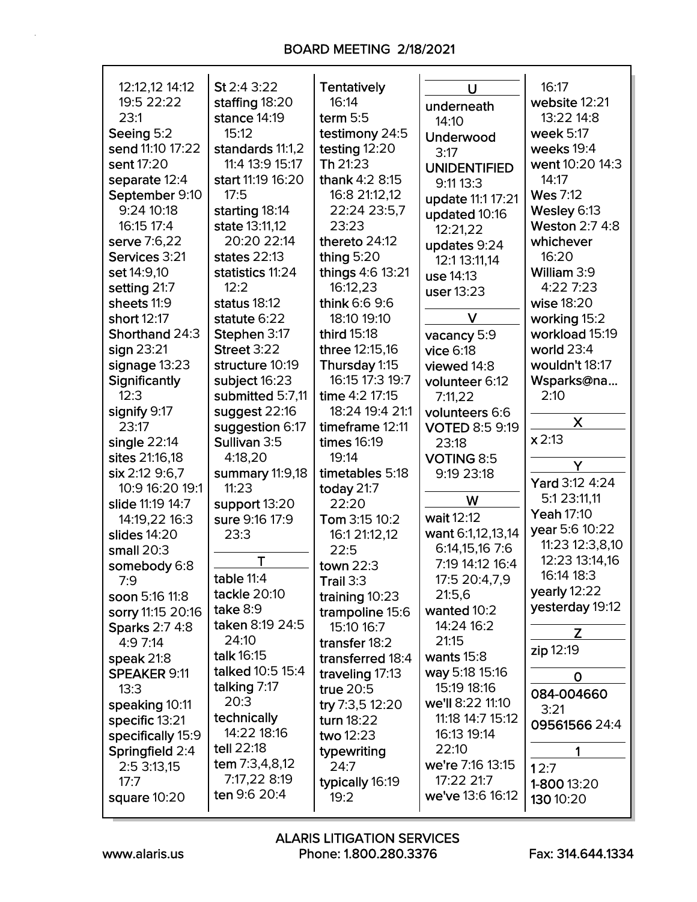| 12:12,12 14:12        | St 2:4 3:22       | <b>Tentatively</b> | U                     | 16:17                 |
|-----------------------|-------------------|--------------------|-----------------------|-----------------------|
| 19:5 22:22            | staffing 18:20    | 16:14              | underneath            | website 12:21         |
| 23:1                  | stance 14:19      | term $5:5$         | 14:10                 | 13:22 14:8            |
| Seeing 5:2            | 15:12             | testimony 24:5     | Underwood             | week 5:17             |
| send 11:10 17:22      | standards 11:1,2  | testing 12:20      | 3:17                  | weeks 19:4            |
| sent 17:20            | 11:4 13:9 15:17   | Th 21:23           | <b>UNIDENTIFIED</b>   | went 10:20 14:3       |
| separate 12:4         | start 11:19 16:20 | thank 4:2 8:15     | 9:11 13:3             | 14:17                 |
| September 9:10        | 17:5              | 16:8 21:12,12      | update 11:1 17:21     | <b>Wes 7:12</b>       |
| 9:24 10:18            | starting 18:14    | 22:24 23:5,7       | updated 10:16         | Wesley 6:13           |
| 16:15 17:4            | state 13:11,12    | 23:23              | 12:21,22              | <b>Weston 2:7 4:8</b> |
| serve 7:6,22          | 20:20 22:14       | thereto 24:12      | updates 9:24          | whichever             |
| Services 3:21         | states 22:13      | thing 5:20         | 12:1 13:11,14         | 16:20                 |
| set 14:9,10           | statistics 11:24  | things 4:6 13:21   | use 14:13             | William 3:9           |
| setting 21:7          | 12:2              | 16:12,23           | user 13:23            | 4:22 7:23             |
| sheets 11:9           | status 18:12      | think 6:6 9:6      |                       | wise 18:20            |
| short 12:17           | statute 6:22      | 18:10 19:10        | V                     | working 15:2          |
| Shorthand 24:3        | Stephen 3:17      | third 15:18        | vacancy 5:9           | workload 15:19        |
| sign 23:21            | Street 3:22       | three 12:15,16     | vice 6:18             | world 23:4            |
| signage 13:23         | structure 10:19   | Thursday 1:15      | viewed 14:8           | wouldn't 18:17        |
| Significantly         | subject 16:23     | 16:15 17:3 19:7    | volunteer 6:12        | Wsparks@na            |
| 12:3                  | submitted 5:7,11  | time 4:2 17:15     | 7:11,22               | 2:10                  |
| signify 9:17          | suggest 22:16     | 18:24 19:4 21:1    | volunteers 6:6        |                       |
| 23:17                 | suggestion 6:17   | timeframe 12:11    | <b>VOTED 8:5 9:19</b> | X                     |
| single $22:14$        | Sullivan 3:5      | <b>times 16:19</b> | 23:18                 | x 2:13                |
| sites 21:16,18        | 4:18,20           | 19:14              | VOTING 8:5            |                       |
| six 2:12 9:6,7        | summary 11:9,18   | timetables 5:18    | 9:19 23:18            | Y                     |
| 10:9 16:20 19:1       | 11:23             | today 21:7         |                       | Yard 3:12 4:24        |
| slide 11:19 14:7      | support 13:20     | 22:20              | W                     | 5:1 23:11,11          |
| 14:19,22 16:3         | sure 9:16 17:9    | Tom 3:15 10:2      | wait 12:12            | Yeah 17:10            |
| slides 14:20          | 23:3              | 16:1 21:12,12      | want 6:1,12,13,14     | year 5:6 10:22        |
| small $20:3$          |                   | 22:5               | 6:14,15,16 7:6        | 11:23 12:3,8,10       |
| somebody 6:8          | Τ                 | town 22:3          | 7:19 14:12 16:4       | 12:23 13:14,16        |
| 7:9                   | table $11:4$      | Trail $3:3$        | 17:5 20:4,7,9         | 16:14 18:3            |
| soon 5:16 11:8        | tackle 20:10      | training 10:23     | 21:5,6                | yearly 12:22          |
| sorry 11:15 20:16     | take $8:9$        | trampoline 15:6    | wanted 10:2           | yesterday 19:12       |
| <b>Sparks 2:7 4:8</b> | taken 8:19 24:5   | 15:10 16:7         | 14:24 16:2            | Z                     |
| 4:97:14               | 24:10             | transfer 18:2      | 21:15                 | zip 12:19             |
| speak $21:8$          | talk 16:15        | transferred 18:4   | wants $15:8$          |                       |
| <b>SPEAKER 9:11</b>   | talked 10:5 15:4  | traveling 17:13    | way 5:18 15:16        | 0                     |
| 13:3                  | talking 7:17      | true 20:5          | 15:19 18:16           | 084-004660            |
| speaking 10:11        | 20:3              | try 7:3,5 12:20    | we'll 8:22 11:10      | 3:21                  |
| specific 13:21        | technically       | turn 18:22         | 11:18 14:7 15:12      | 09561566 24:4         |
| specifically 15:9     | 14:22 18:16       | two 12:23          | 16:13 19:14           |                       |
| Springfield 2:4       | tell 22:18        | typewriting        | 22:10                 | 1                     |
| 2:5 3:13,15           | tem 7:3,4,8,12    | 24:7               | we're 7:16 13:15      | 12:7                  |
| 17:7                  | 7:17,22 8:19      | typically 16:19    | 17:22 21:7            | 1-800 13:20           |
| square 10:20          | ten 9:6 20:4      | 19:2               | we've 13:6 16:12      | 130 10:20             |